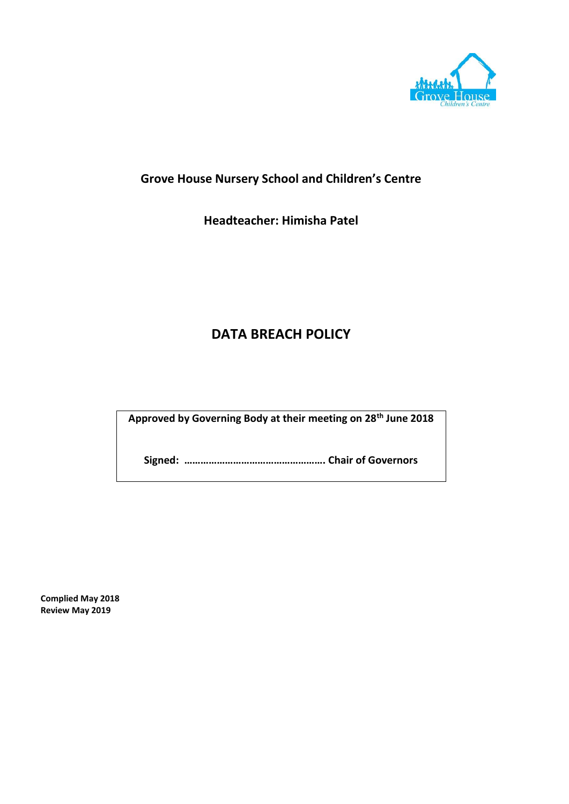

# **Grove House Nursery School and Children's Centre**

**Headteacher: Himisha Patel**

# **DATA BREACH POLICY**

**Approved by Governing Body at their meeting on 28th June 2018**

**Signed: ……………………………………………. Chair of Governors**

**Complied May 2018 Review May 2019**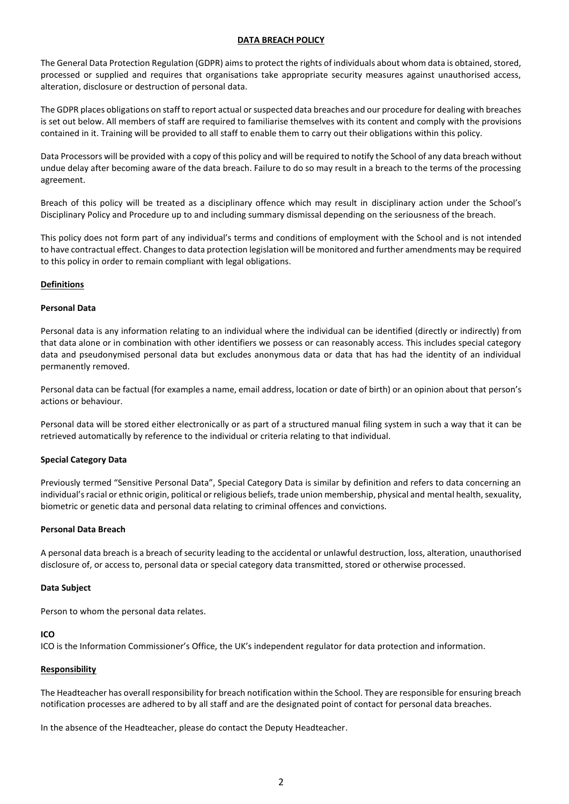#### **DATA BREACH POLICY**

The General Data Protection Regulation (GDPR) aims to protect the rights of individuals about whom data is obtained, stored, processed or supplied and requires that organisations take appropriate security measures against unauthorised access, alteration, disclosure or destruction of personal data.

The GDPR places obligations on staff to report actual or suspected data breaches and our procedure for dealing with breaches is set out below. All members of staff are required to familiarise themselves with its content and comply with the provisions contained in it. Training will be provided to all staff to enable them to carry out their obligations within this policy.

Data Processors will be provided with a copy of this policy and will be required to notify the School of any data breach without undue delay after becoming aware of the data breach. Failure to do so may result in a breach to the terms of the processing agreement.

Breach of this policy will be treated as a disciplinary offence which may result in disciplinary action under the School's Disciplinary Policy and Procedure up to and including summary dismissal depending on the seriousness of the breach.

This policy does not form part of any individual's terms and conditions of employment with the School and is not intended to have contractual effect. Changes to data protection legislation will be monitored and further amendments may be required to this policy in order to remain compliant with legal obligations.

#### **Definitions**

#### **Personal Data**

Personal data is any information relating to an individual where the individual can be identified (directly or indirectly) from that data alone or in combination with other identifiers we possess or can reasonably access. This includes special category data and pseudonymised personal data but excludes anonymous data or data that has had the identity of an individual permanently removed.

Personal data can be factual (for examples a name, email address, location or date of birth) or an opinion about that person's actions or behaviour.

Personal data will be stored either electronically or as part of a structured manual filing system in such a way that it can be retrieved automatically by reference to the individual or criteria relating to that individual.

## **Special Category Data**

Previously termed "Sensitive Personal Data", Special Category Data is similar by definition and refers to data concerning an individual's racial or ethnic origin, political or religious beliefs, trade union membership, physical and mental health, sexuality, biometric or genetic data and personal data relating to criminal offences and convictions.

#### **Personal Data Breach**

A personal data breach is a breach of security leading to the accidental or unlawful destruction, loss, alteration, unauthorised disclosure of, or access to, personal data or special category data transmitted, stored or otherwise processed.

#### **Data Subject**

Person to whom the personal data relates.

#### **ICO**

ICO is the Information Commissioner's Office, the UK's independent regulator for data protection and information.

#### **Responsibility**

The Headteacher has overall responsibility for breach notification within the School. They are responsible for ensuring breach notification processes are adhered to by all staff and are the designated point of contact for personal data breaches.

In the absence of the Headteacher, please do contact the Deputy Headteacher.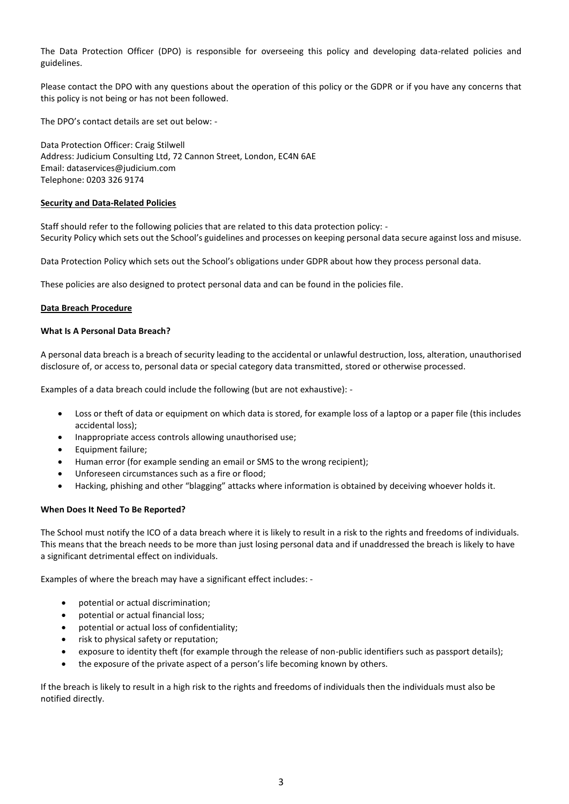The Data Protection Officer (DPO) is responsible for overseeing this policy and developing data-related policies and guidelines.

Please contact the DPO with any questions about the operation of this policy or the GDPR or if you have any concerns that this policy is not being or has not been followed.

The DPO's contact details are set out below: -

Data Protection Officer: Craig Stilwell Address: Judicium Consulting Ltd, 72 Cannon Street, London, EC4N 6AE Email[: dataservices@judicium.com](mailto:dataservices@judicium.com) Telephone: 0203 326 9174

#### **Security and Data-Related Policies**

Staff should refer to the following policies that are related to this data protection policy: - Security Policy which sets out the School's guidelines and processes on keeping personal data secure against loss and misuse.

Data Protection Policy which sets out the School's obligations under GDPR about how they process personal data.

These policies are also designed to protect personal data and can be found in the policies file.

#### **Data Breach Procedure**

#### **What Is A Personal Data Breach?**

A personal data breach is a breach of security leading to the accidental or unlawful destruction, loss, alteration, unauthorised disclosure of, or access to, personal data or special category data transmitted, stored or otherwise processed.

Examples of a data breach could include the following (but are not exhaustive): -

- Loss or theft of data or equipment on which data is stored, for example loss of a laptop or a paper file (this includes accidental loss);
- Inappropriate access controls allowing unauthorised use;
- Equipment failure;
- Human error (for example sending an email or SMS to the wrong recipient);
- Unforeseen circumstances such as a fire or flood;
- Hacking, phishing and other "blagging" attacks where information is obtained by deceiving whoever holds it.

## **When Does It Need To Be Reported?**

The School must notify the ICO of a data breach where it is likely to result in a risk to the rights and freedoms of individuals. This means that the breach needs to be more than just losing personal data and if unaddressed the breach is likely to have a significant detrimental effect on individuals.

Examples of where the breach may have a significant effect includes: -

- potential or actual discrimination;
- potential or actual financial loss;
- potential or actual loss of confidentiality;
- risk to physical safety or reputation;
- exposure to identity theft (for example through the release of non-public identifiers such as passport details);
- the exposure of the private aspect of a person's life becoming known by others.

If the breach is likely to result in a high risk to the rights and freedoms of individuals then the individuals must also be notified directly.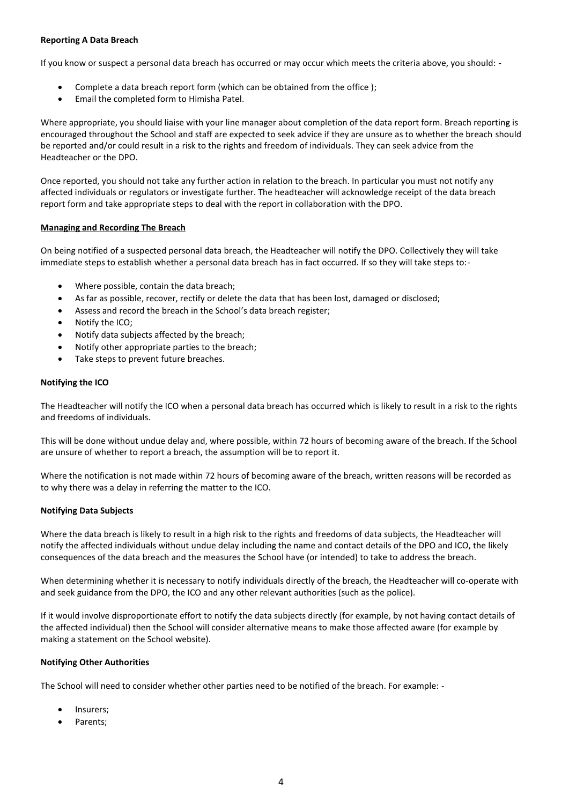#### **Reporting A Data Breach**

If you know or suspect a personal data breach has occurred or may occur which meets the criteria above, you should: -

- Complete a data breach report form (which can be obtained from the office);
- Email the completed form to Himisha Patel.

Where appropriate, you should liaise with your line manager about completion of the data report form. Breach reporting is encouraged throughout the School and staff are expected to seek advice if they are unsure as to whether the breach should be reported and/or could result in a risk to the rights and freedom of individuals. They can seek advice from the Headteacher or the DPO.

Once reported, you should not take any further action in relation to the breach. In particular you must not notify any affected individuals or regulators or investigate further. The headteacher will acknowledge receipt of the data breach report form and take appropriate steps to deal with the report in collaboration with the DPO.

#### **Managing and Recording The Breach**

On being notified of a suspected personal data breach, the Headteacher will notify the DPO. Collectively they will take immediate steps to establish whether a personal data breach has in fact occurred. If so they will take steps to:-

- Where possible, contain the data breach;
- As far as possible, recover, rectify or delete the data that has been lost, damaged or disclosed;
- Assess and record the breach in the School's data breach register;
- Notify the ICO;
- Notify data subjects affected by the breach;
- Notify other appropriate parties to the breach;
- Take steps to prevent future breaches.

## **Notifying the ICO**

The Headteacher will notify the ICO when a personal data breach has occurred which is likely to result in a risk to the rights and freedoms of individuals.

This will be done without undue delay and, where possible, within 72 hours of becoming aware of the breach. If the School are unsure of whether to report a breach, the assumption will be to report it.

Where the notification is not made within 72 hours of becoming aware of the breach, written reasons will be recorded as to why there was a delay in referring the matter to the ICO.

## **Notifying Data Subjects**

Where the data breach is likely to result in a high risk to the rights and freedoms of data subjects, the Headteacher will notify the affected individuals without undue delay including the name and contact details of the DPO and ICO, the likely consequences of the data breach and the measures the School have (or intended) to take to address the breach.

When determining whether it is necessary to notify individuals directly of the breach, the Headteacher will co-operate with and seek guidance from the DPO, the ICO and any other relevant authorities (such as the police).

If it would involve disproportionate effort to notify the data subjects directly (for example, by not having contact details of the affected individual) then the School will consider alternative means to make those affected aware (for example by making a statement on the School website).

## **Notifying Other Authorities**

The School will need to consider whether other parties need to be notified of the breach. For example: -

- Insurers;
- Parents: